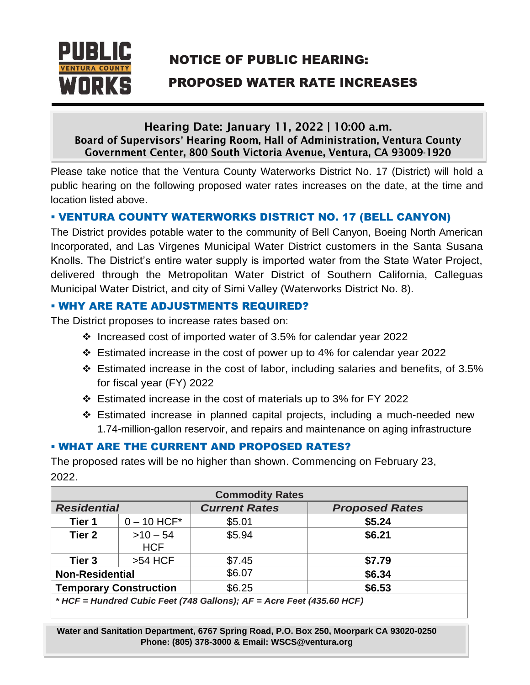

# NOTICE OF PUBLIC HEARING:

# **NORKS** PROPOSED WATER RATE INCREASES

### Hearing Date: January 11, 2022 | 10:00 a.m. Board of Supervisors' Hearing Room, Hall of Administration, Ventura County Government Center, 800 South Victoria Avenue, Ventura, CA 93009-1920

Please take notice that the Ventura County Waterworks District No. 17 (District) will hold a public hearing on the following proposed water rates increases on the date, at the time and location listed above.

## ▪ VENTURA COUNTY WATERWORKS DISTRICT NO. 17 (BELL CANYON)

The District provides potable water to the community of Bell Canyon, Boeing North American Incorporated, and Las Virgenes Municipal Water District customers in the Santa Susana Knolls. The District's entire water supply is imported water from the State Water Project, delivered through the Metropolitan Water District of Southern California, Calleguas Municipal Water District, and city of Simi Valley (Waterworks District No. 8).

### **. WHY ARE RATE ADJUSTMENTS REQUIRED?**

The District proposes to increase rates based on:

- ❖ Increased cost of imported water of 3.5% for calendar year 2022
- ❖ Estimated increase in the cost of power up to 4% for calendar year 2022
- ❖ Estimated increase in the cost of labor, including salaries and benefits, of 3.5% for fiscal year (FY) 2022
- ❖ Estimated increase in the cost of materials up to 3% for FY 2022
- ❖ Estimated increase in planned capital projects, including a much-needed new 1.74-million-gallon reservoir, and repairs and maintenance on aging infrastructure

## **. WHAT ARE THE CURRENT AND PROPOSED RATES?**

The proposed rates will be no higher than shown. Commencing on February 23, 2022.

| <b>Commodity Rates</b>                                                     |                        |                      |                       |  |
|----------------------------------------------------------------------------|------------------------|----------------------|-----------------------|--|
| <b>Residential</b>                                                         |                        | <b>Current Rates</b> | <b>Proposed Rates</b> |  |
| Tier 1                                                                     | $0 - 10$ HCF*          | \$5.01               | \$5.24                |  |
| Tier <sub>2</sub>                                                          | $>10-54$<br><b>HCF</b> | \$5.94               | \$6.21                |  |
| Tier 3                                                                     | $>54$ HCF              | \$7.45               | \$7.79                |  |
| <b>Non-Residential</b>                                                     |                        | \$6.07               | \$6.34                |  |
| <b>Temporary Construction</b>                                              |                        | \$6.25               | \$6.53                |  |
| $*$ HCE - Hundred Cubic Feet (748 Gallons): $AF - A$ cre Feet (435 60 HCF) |                        |                      |                       |  |

*\* HCF = Hundred Cubic Feet (748 Gallons); AF = Acre Feet (435.60 HCF)*

**Water and Sanitation Department, 6767 Spring Road, P.O. Box 250, Moorpark CA 93020-0250 Phone: (805) 378-3000 & Email: WSCS@ventura.org**